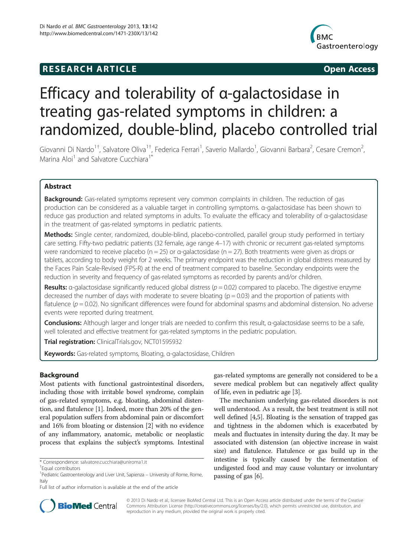## **RESEARCH ARTICLE Example 2014 CONSIDERING CONSIDERING CONSIDERING CONSIDERING CONSIDERING CONSIDERING CONSIDERING CONSIDERING CONSIDERING CONSIDERING CONSIDERING CONSIDERING CONSIDERING CONSIDERING CONSIDERING CONSIDE**



# Efficacy and tolerability of α-galactosidase in treating gas-related symptoms in children: a randomized, double-blind, placebo controlled trial

Giovanni Di Nardo<sup>1†</sup>, Salvatore Oliva<sup>1†</sup>, Federica Ferrari<sup>1</sup>, Saverio Mallardo<sup>1</sup>, Giovanni Barbara<sup>2</sup>, Cesare Cremon<sup>2</sup> .<br>, Marina Aloi<sup>1</sup> and Salvatore Cucchiara<sup>1</sup>

## Abstract

Background: Gas-related symptoms represent very common complaints in children. The reduction of gas production can be considered as a valuable target in controlling symptoms. α-galactosidase has been shown to reduce gas production and related symptoms in adults. To evaluate the efficacy and tolerability of α-galactosidase in the treatment of gas-related symptoms in pediatric patients.

Methods: Single center, randomized, double-blind, placebo-controlled, parallel group study performed in tertiary care setting. Fifty-two pediatric patients (32 female, age range 4–17) with chronic or recurrent gas-related symptoms were randomized to receive placebo (n = 25) or α-galactosidase (n = 27). Both treatments were given as drops or tablets, according to body weight for 2 weeks. The primary endpoint was the reduction in global distress measured by the Faces Pain Scale-Revised (FPS-R) at the end of treatment compared to baseline. Secondary endpoints were the reduction in severity and frequency of gas-related symptoms as recorded by parents and/or children.

Results: a-galactosidase significantly reduced global distress ( $p = 0.02$ ) compared to placebo. The digestive enzyme decreased the number of days with moderate to severe bloating  $(p = 0.03)$  and the proportion of patients with flatulence ( $p = 0.02$ ). No significant differences were found for abdominal spasms and abdominal distension. No adverse events were reported during treatment.

Conclusions: Although larger and longer trials are needed to confirm this result, α-galactosidase seems to be a safe, well tolerated and effective treatment for gas-related symptoms in the pediatric population.

Trial registration: ClinicalTrials.gov, [NCT01595932](http://clinicaltrials.gov/show/NCT01595932)

Keywords: Gas-related symptoms, Bloating, α-galactosidase, Children

## Background

Most patients with functional gastrointestinal disorders, including those with irritable bowel syndrome, complain of gas-related symptoms, e.g. bloating, abdominal distention, and flatulence [\[1\]](#page-6-0). Indeed, more than 20% of the general population suffers from abdominal pain or discomfort and 16% from bloating or distension [[2](#page-6-0)] with no evidence of any inflammatory, anatomic, metabolic or neoplastic process that explains the subject's symptoms. Intestinal

gas-related symptoms are generally not considered to be a severe medical problem but can negatively affect quality of life, even in pediatric age [[3\]](#page-6-0).

The mechanism underlying gas-related disorders is not well understood. As a result, the best treatment is still not well defined [\[4,5](#page-6-0)]. Bloating is the sensation of trapped gas and tightness in the abdomen which is exacerbated by meals and fluctuates in intensity during the day. It may be associated with distension (an objective increase in waist size) and flatulence. Flatulence or gas build up in the intestine is typically caused by the fermentation of undigested food and may cause voluntary or involuntary passing of gas [[6](#page-6-0)].



© 2013 Di Nardo et al.; licensee BioMed Central Ltd. This is an Open Access article distributed under the terms of the Creative Commons Attribution License [\(http://creativecommons.org/licenses/by/2.0\)](http://creativecommons.org/licenses/by/2.0), which permits unrestricted use, distribution, and reproduction in any medium, provided the original work is properly cited.

<sup>\*</sup> Correspondence: [salvatore.cucchiara@uniroma1.it](mailto:salvatore.cucchiara@uniroma1.it) †

<sup>&</sup>lt;sup>+</sup>Fqual contributors

<sup>&</sup>lt;sup>1</sup> Pediatric Gastroenterology and Liver Unit, Sapienza - University of Rome, Rome, Italy

Full list of author information is available at the end of the article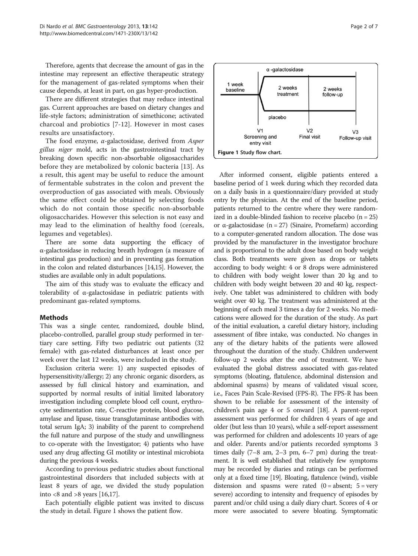Therefore, agents that decrease the amount of gas in the intestine may represent an effective therapeutic strategy for the management of gas-related symptoms when their cause depends, at least in part, on gas hyper-production.

There are different strategies that may reduce intestinal gas. Current approaches are based on dietary changes and life-style factors; administration of simethicone; activated charcoal and probiotics [[7-12](#page-6-0)]. However in most cases results are unsatisfactory.

The food enzyme,  $\alpha$ -galactosidase, derived from Asper gillus niger mold, acts in the gastrointestinal tract by breaking down specific non-absorbable oligosaccharides before they are metabolized by colonic bacteria [[13](#page-6-0)]. As a result, this agent may be useful to reduce the amount of fermentable substrates in the colon and prevent the overproduction of gas associated with meals. Obviously the same effect could be obtained by selecting foods which do not contain those specific non-absorbable oligosaccharides. However this selection is not easy and may lead to the elimination of healthy food (cereals, legumes and vegetables).

There are some data supporting the efficacy of α-galactosidase in reducing breath hydrogen (a measure of intestinal gas production) and in preventing gas formation in the colon and related disturbances [[14,15](#page-6-0)]. However, the studies are available only in adult populations.

The aim of this study was to evaluate the efficacy and tolerability of α-galactosidase in pediatric patients with predominant gas-related symptoms.

## **Methods**

This was a single center, randomized, double blind, placebo-controlled, parallel group study performed in tertiary care setting. Fifty two pediatric out patients (32 female) with gas-related disturbances at least once per week over the last 12 weeks, were included in the study.

Exclusion criteria were: 1) any suspected episodes of hypersensitivity/allergy; 2) any chronic organic disorders, as assessed by full clinical history and examination, and supported by normal results of initial limited laboratory investigation including complete blood cell count, erythrocyte sedimentation rate, C-reactive protein, blood glucose, amylase and lipase, tissue transglutaminase antibodies with total serum IgA; 3) inability of the parent to comprehend the full nature and purpose of the study and unwillingness to co-operate with the Investigator; 4) patients who have used any drug affecting GI motility or intestinal microbiota during the previous 4 weeks.

According to previous pediatric studies about functional gastrointestinal disorders that included subjects with at least 8 years of age, we divided the study population into  $<8$  and  $>8$  years [\[16,17](#page-6-0)].

Each potentially eligible patient was invited to discuss the study in detail. Figure 1 shows the patient flow.



After informed consent, eligible patients entered a baseline period of 1 week during which they recorded data on a daily basis in a questionnaire/diary provided at study entry by the physician. At the end of the baseline period, patients returned to the centre where they were randomized in a double-blinded fashion to receive placebo  $(n = 25)$ or α-galactosidase (n = 27) (Sinaire, Promefarm) according to a computer-generated random allocation. The dose was provided by the manufacturer in the investigator brochure and is proportional to the adult dose based on body weight class. Both treatments were given as drops or tablets according to body weight: 4 or 8 drops were administered to children with body weight lower than 20 kg and to children with body weight between 20 and 40 kg, respectively. One tablet was administered to children with body weight over 40 kg. The treatment was administered at the beginning of each meal 3 times a day for 2 weeks. No medications were allowed for the duration of the study. As part of the initial evaluation, a careful dietary history, including assessment of fibre intake, was conducted. No changes in any of the dietary habits of the patients were allowed throughout the duration of the study. Children underwent follow-up 2 weeks after the end of treatment. We have evaluated the global distress associated with gas-related symptoms (bloating, flatulence, abdominal distension and abdominal spasms) by means of validated visual score, i.e., Faces Pain Scale-Revised (FPS-R). The FPS-R has been shown to be reliable for assessment of the intensity of children's pain age 4 or 5 onward [\[18\]](#page-6-0). A parent-report assessment was performed for children 4 years of age and older (but less than 10 years), while a self-report assessment was performed for children and adolescents 10 years of age and older. Parents and/or patients recorded symptoms 3 times daily (7–8 am, 2–3 pm, 6–7 pm) during the treatment. It is well established that relatively few symptoms may be recorded by diaries and ratings can be performed only at a fixed time [\[19\]](#page-6-0). Bloating, flatulence (wind), visible distension and spasms were rated  $(0 = absent; 5 = very$ severe) according to intensity and frequency of episodes by parent and/or child using a daily diary chart. Scores of 4 or more were associated to severe bloating. Symptomatic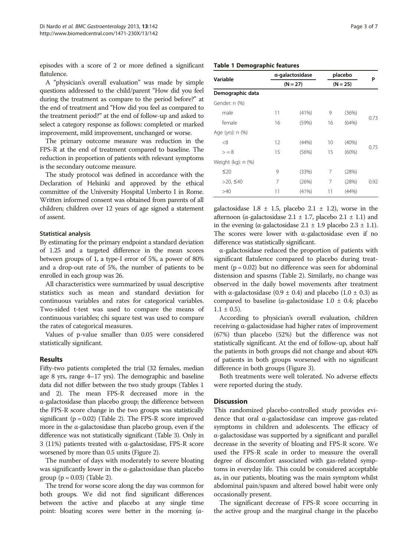episodes with a score of 2 or more defined a significant flatulence.

A "physician's overall evaluation" was made by simple questions addressed to the child/parent "How did you feel during the treatment as compare to the period before?" at the end of treatment and "How did you feel as compared to the treatment period?" at the end of follow-up and asked to select a category response as follows: completed or marked improvement, mild improvement, unchanged or worse.

The primary outcome measure was reduction in the FPS-R at the end of treatment compared to baseline. The reduction in proportion of patients with relevant symptoms is the secondary outcome measure.

The study protocol was defined in accordance with the Declaration of Helsinki and approved by the ethical committee of the University Hospital Umberto I in Rome. Written informed consent was obtained from parents of all children; children over 12 years of age signed a statement of assent.

#### Statistical analysis

By estimating for the primary endpoint a standard deviation of 1.25 and a targeted difference in the mean scores between groups of 1, a type-I error of 5%, a power of 80% and a drop-out rate of 5%, the number of patients to be enrolled in each group was 26.

All characteristics were summarized by usual descriptive statistics such as mean and standard deviation for continuous variables and rates for categorical variables. Two-sided t-test was used to compare the means of continuous variables; chi square test was used to compare the rates of categorical measures.

Values of p-value smaller than 0.05 were considered statistically significant.

## Results

Fifty-two patients completed the trial (32 females, median age 8 yrs, range 4–17 yrs). The demographic and baseline data did not differ between the two study groups (Tables 1 and [2](#page-3-0)). The mean FPS-R decreased more in the α-galactosidase than placebo group; the difference between the FPS-R score change in the two groups was statistically significant ( $p = 0.02$ ) (Table [2\)](#page-3-0). The FPS-R score improved more in the α-galactosidase than placebo group, even if the difference was not statistically significant (Table [3](#page-3-0)). Only in 3 (11%) patients treated with α-galactosidase, FPS-R score worsened by more than 0.5 units (Figure [2\)](#page-4-0).

The number of days with moderately to severe bloating was significantly lower in the α-galactosidase than placebo group ( $p = 0.03$ ) (Table [2](#page-3-0)).

The trend for worse score along the day was common for both groups. We did not find significant differences between the active and placebo at any single time point: bloating scores were better in the morning  $(α -)$ 

| Variable         | a-galactosidase | placebo    | Р |
|------------------|-----------------|------------|---|
|                  | $(N = 27)$      | $(N = 25)$ |   |
| Demographic data |                 |            |   |
| Gender: n (%)    |                 |            |   |

Table 1 Demographic features

| Gender: n (%)      |    |       |    |        |      |
|--------------------|----|-------|----|--------|------|
| male               | 11 | (41%) | 9  | (36%)  | 0.73 |
| female             | 16 | (59%) | 16 | (64%)  |      |
| Age (yrs): n (%)   |    |       |    |        |      |
| <8                 | 12 | (44%) | 10 | (40%)  |      |
| $>= 8$             | 15 | (56%) | 15 | (60%)  | 0.75 |
| Weight (kg): n (%) |    |       |    |        |      |
| $\leq 20$          | 9  | (33%) | 7  | (28%)  |      |
| >20, $≤40$         | 7  | (26%) | 7  | (28%)  | 0.92 |
| >40                | 11 | (41%) | 11 | (44% ) |      |

galactosidase  $1.8 \pm 1.5$ , placebo  $2.1 \pm 1.2$ ), worse in the afternoon (α-galactosidase  $2.1 \pm 1.7$ , placebo  $2.1 \pm 1.1$ ) and in the evening (α-galactosidase  $2.1 \pm 1.9$  placebo  $2.3 \pm 1.1$ ). The scores were lower with  $\alpha$ -galactosidase even if no difference was statistically significant.

α-galactosidase reduced the proportion of patients with significant flatulence compared to placebo during treatment ( $p = 0.02$ ) but no difference was seen for abdominal distension and spasms (Table [2\)](#page-3-0). Similarly, no change was observed in the daily bowel movements after treatment with α-galactosidase (0.9  $\pm$  0.4) and placebo (1.0  $\pm$  0.3) as compared to baseline (α-galactosidase  $1.0 \pm 0.4$ ; placebo  $1.1 \pm 0.5$ ).

According to physician's overall evaluation, children receiving α-galactosidase had higher rates of improvement (67%) than placebo (52%) but the difference was not statistically significant. At the end of follow-up, about half the patients in both groups did not change and about 40% of patients in both groups worsened with no significant difference in both groups (Figure [3\)](#page-4-0).

Both treatments were well tolerated. No adverse effects were reported during the study.

#### **Discussion**

This randomized placebo-controlled study provides evidence that oral α-galactosidase can improve gas-related symptoms in children and adolescents. The efficacy of α-galactosidase was supported by a significant and parallel decrease in the severity of bloating and FPS-R score. We used the FPS-R scale in order to measure the overall degree of discomfort associated with gas-related symptoms in everyday life. This could be considered acceptable as, in our patients, bloating was the main symptom whilst abdominal pain/spasm and altered bowel habit were only occasionally present.

The significant decrease of FPS-R score occurring in the active group and the marginal change in the placebo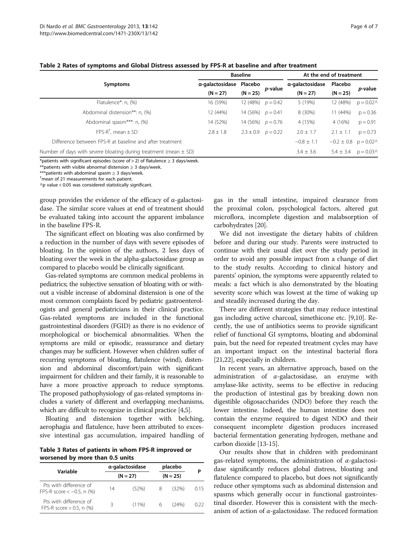<span id="page-3-0"></span>

|  |  |  |  | Table 2 Rates of symptoms and Global Distress assessed by FPS-R at baseline and after treatment |  |
|--|--|--|--|-------------------------------------------------------------------------------------------------|--|
|--|--|--|--|-------------------------------------------------------------------------------------------------|--|

|                                                                      | <b>Baseline</b> |                          |                     | At the end of treatment |                                                      |                  |  |
|----------------------------------------------------------------------|-----------------|--------------------------|---------------------|-------------------------|------------------------------------------------------|------------------|--|
| <b>Symptoms</b>                                                      | α-galactosidase | Placebo                  | <i>p</i> -value     | a-galactosidase         | Placebo                                              |                  |  |
|                                                                      | $(N = 27)$      | $(N = 25)$               |                     | $(N = 27)$              | $(N = 25)$                                           | <i>p</i> -value  |  |
| Flatulence*: n, (%)                                                  | 16 (59%)        | 12 (48%) $p = 0.42$      |                     | 5 (19%)                 | 12 (48%)                                             | $p = 0.02\wedge$ |  |
| Abdominal distension**: n, (%)                                       | 12 (44%)        | 14 (56%) $p = 0.41$      |                     | 8 (30%)                 | 11 (44%)                                             | $p = 0.36$       |  |
| Abdominal spasm***: n, (%)                                           | 14 (52%)        |                          | 14 (56%) $p = 0.76$ | 4 (15%)                 | 4 (16%)                                              | $p = 0.91$       |  |
| $FPS-R^{\dagger}$ , mean $\pm$ SD                                    | $2.8 + 1.8$     | $2.3 \pm 0.9$ $p = 0.22$ |                     | $2.0 \pm 1.7$           | $2.1 \pm 1.1$                                        | $p = 0.73$       |  |
| Difference between FPS-R at baseline and after treatment             |                 |                          |                     | $-0.8 \pm 1.1$          | $-0.2 \pm 0.8$ p = 0.02^                             |                  |  |
| Number of days with severe bloating during treatment (mean $\pm$ SD) |                 |                          |                     | $3.4 \pm 3.6$           | $5.4 \pm 3.4$ p = 0.03 <sup><math>\land</math></sup> |                  |  |

\*patients with significant episodes (score of > 2) of flatulence ≥ 3 days/week.

 $**$ patients with visible abnormal distension  $\geq 3$  days/week.

 $**$ patients with abdominal spasm  $\geq 3$  days/week.

 $<sup>†</sup>$ mean of 21 measurements for each patient.</sup>

 $\wedge$ p value < 0.05 was considered statistically significant.

group provides the evidence of the efficacy of  $\alpha$ -galactosidase. The similar score values at end of treatment should be evaluated taking into account the apparent imbalance in the baseline FPS-R.

The significant effect on bloating was also confirmed by a reduction in the number of days with severe episodes of bloating. In the opinion of the authors, 2 less days of bloating over the week in the alpha-galactosidase group as compared to placebo would be clinically significant.

Gas-related symptoms are common medical problems in pediatrics; the subjective sensation of bloating with or without a visible increase of abdominal distension is one of the most common complaints faced by pediatric gastroenterologists and general pediatricians in their clinical practice. Gas-related symptoms are included in the functional gastrointestinal disorders (FGID) as there is no evidence of morphological or biochemical abnormalities. When the symptoms are mild or episodic, reassurance and dietary changes may be sufficient. However when children suffer of recurring symptoms of bloating, flatulence (wind), distension and abdominal discomfort/pain with significant impairment for children and their family, it is reasonable to have a more proactive approach to reduce symptoms. The proposed pathophysiology of gas-related symptoms includes a variety of different and overlapping mechanisms, which are difficult to recognize in clinical practice [\[4,5](#page-6-0)].

Bloating and distension together with belching, aerophagia and flatulence, have been attributed to excessive intestinal gas accumulation, impaired handling of

Table 3 Rates of patients in whom FPS-R improved or worsened by more than 0.5 units

|                                                          |            | α-galactosidase | placebo    |       |      |
|----------------------------------------------------------|------------|-----------------|------------|-------|------|
| Variable                                                 | $(N = 27)$ |                 | $(N = 25)$ |       | р    |
| Pts with difference of<br>FPS-R score $<-0.5$ , n $(\%)$ | 14         | (52%)           | 8          | (32%) | O 15 |
| Pts with difference of<br>FPS-R score $> 0.5$ , n (%)    |            | (11%)           | 6          | (24%) | 0.22 |

gas in the small intestine, impaired clearance from the proximal colon, psychological factors, altered gut microflora, incomplete digestion and malabsorption of carbohydrates [\[20\]](#page-6-0).

We did not investigate the dietary habits of children before and during our study. Parents were instructed to continue with their usual diet over the study period in order to avoid any possible impact from a change of diet to the study results. According to clinical history and parents' opinion, the symptoms were apparently related to meals: a fact which is also demonstrated by the bloating severity score which was lowest at the time of waking up and steadily increased during the day.

There are different strategies that may reduce intestinal gas including active charcoal, simethicone etc. [[9,10](#page-6-0)]. Recently, the use of antibiotics seems to provide significant relief of functional GI symptoms, bloating and abdominal pain, but the need for repeated treatment cycles may have an important impact on the intestinal bacterial flora [[21](#page-6-0),[22](#page-6-0)], especially in children.

In recent years, an alternative approach, based on the administration of  $\alpha$ -galactosidase, an enzyme with amylase-like activity, seems to be effective in reducing the production of intestinal gas by breaking down non digestible oligosaccharides (NDO) before they reach the lower intestine. Indeed, the human intestine does not contain the enzyme required to digest NDO and their consequent incomplete digestion produces increased bacterial fermentation generating hydrogen, methane and carbon dioxide [[13-15\]](#page-6-0).

Our results show that in children with predominant gas-related symptoms, the administration of  $\alpha$ -galactosidase significantly reduces global distress, bloating and flatulence compared to placebo, but does not significantly reduce other symptoms such as abdominal distension and spasms which generally occur in functional gastrointestinal disorder. However this is consistent with the mechanism of action of  $\alpha$ -galactosidase. The reduced formation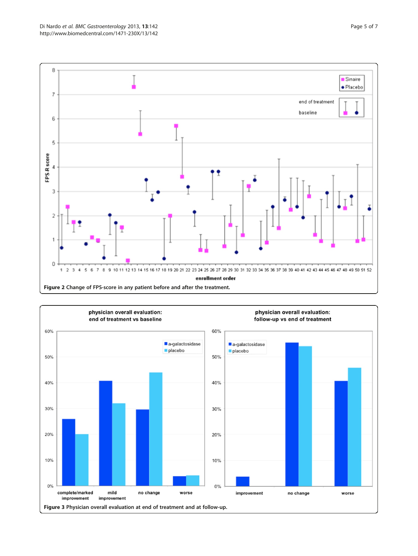<span id="page-4-0"></span>

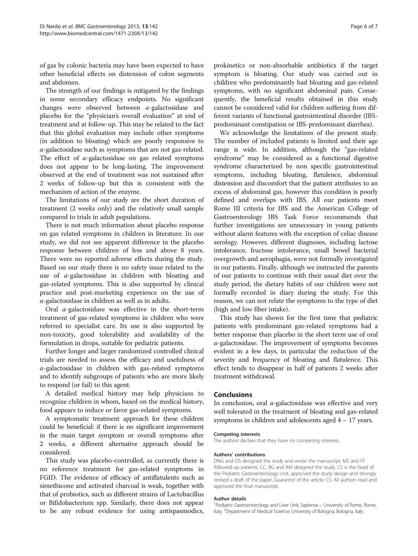of gas by colonic bacteria may have been expected to have other beneficial effects on distension of colon segments and abdomen.

The strength of our findings is mitigated by the findings in some secondary efficacy endpoints. No significant changes were observed between  $\alpha$ -galactosidase and placebo for the "physician's overall evaluation" at end of treatment and at follow-up. This may be related to the fact that this global evaluation may include other symptoms (in addition to bloating) which are poorly responsive to  $\alpha$ -galactosidase such as symptoms that are not gas-related. The effect of  $\alpha$ -galactosidase on gas related symptoms does not appear to be long-lasting. The improvement observed at the end of treatment was not sustained after 2 weeks of follow-up but this is consistent with the mechanism of action of the enzyme.

The limitations of our study are the short duration of treatment (2 weeks only) and the relatively small sample compared to trials in adult populations.

There is not much information about placebo response on gas related symptoms in children in literature. In our study, we did not see apparent difference in the placebo response between children of less and above 8 years. There were no reported adverse effects during the study. Based on our study there is no safety issue related to the use of  $\alpha$ -galactosidase in children with bloating and gas-related symptoms. This is also supported by clinical practice and post-marketing experience on the use of  $\alpha$ -galactosidase in children as well as in adults.

Oral α-galactosidase was effective in the short-term treatment of gas-related symptoms in children who were referred to specialist care. Its use is also supported by non-toxicity, good tolerability and availability of the formulation in drops, suitable for pediatric patients.

Further longer and larger randomized controlled clinical trials are needed to assess the efficacy and usefulness of  $\alpha$ -galactosidase in children with gas-related symptoms and to identify subgroups of patients who are more likely to respond (or fail) to this agent.

A detailed medical history may help physicians to recognize children in whom, based on the medical history, food appears to induce or favor gas-related symptoms.

A symptomatic treatment approach for these children could be beneficial: if there is no significant improvement in the main target symptom or overall symptoms after 2 weeks, a different alternative approach should be considered.

This study was placebo-controlled, as currently there is no reference treatment for gas-related symptoms in FGID. The evidence of efficacy of antiflatulents such as simethicone and activated charcoal is weak, together with that of probiotics, such as different strains of Lactobacillus or Bifidobacterium spp. Similarly, there does not appear to be any robust evidence for using antispasmodics, prokinetics or non-absorbable antibiotics if the target symptom is bloating. Our study was carried out in children who predominantly had bloating and gas-related symptoms, with no significant abdominal pain. Consequently, the beneficial results obtained in this study cannot be considered valid for children suffering from different variants of functional gastrointestinal disorder (IBSpredominant constipation or IBS-predominant diarrhea).

We acknowledge the limitations of the present study. The number of included patients is limited and their age range is wide. In addition, although the "gas-related syndrome" may be considered as a functional digestive syndrome characterized by non specific gastrointestinal symptoms, including bloating, flatulence, abdominal distension and discomfort that the patient attributes to an excess of abdominal gas, however this condition is poorly defined and overlaps with IBS. All our patients meet Rome III criteria for IBS and the American College of Gastroenterology IBS Task Force recommends that further investigations are unnecessary in young patients without alarm features with the exception of celiac disease serology. However, different diagnoses, including lactose intolerance, fructose intolerance, small bowel bacterial overgrowth and aerophagia, were not formally investigated in our patients. Finally, although we instructed the parents of our patients to continue with their usual diet over the study period, the dietary habits of our children were not formally recorded in diary during the study. For this reason, we can not relate the symptoms to the type of diet (high and low fiber intake).

This study has shown for the first time that pediatric patients with predominant gas-related symptoms had a better response than placebo in the short term use of oral  $\alpha$ -galactosidase. The improvement of symptoms becomes evident in a few days, in particular the reduction of the severity and frequency of bloating and flatulence. This effect tends to disappear in half of patients 2 weeks after treatment withdrawal.

## Conclusions

In conclusion, oral  $\alpha$ -galactosidase was effective and very well tolerated in the treatment of bloating and gas-related symptoms in children and adolescents aged 4 – 17 years.

#### Competing interests

The authors declare that they have no competing interests.

#### Authors' contributions

DNG and OS designed the study and wrote the manuscript. MS and FF followed-up patients. CC, BG and AM designed the study. CS is the head of the Pediatric Gastroenterology Unit, approved the study design and strongly revised a draft of the paper. Guarantor of the article: CS. All authors read and approved the final manuscript.

#### Author details

<sup>1</sup> Pediatric Gastroenterology and Liver Unit, Sapienza - University of Rome, Rome, Italy. <sup>2</sup>Department of Medical Science, University of Bologna, Bologna, Italy.